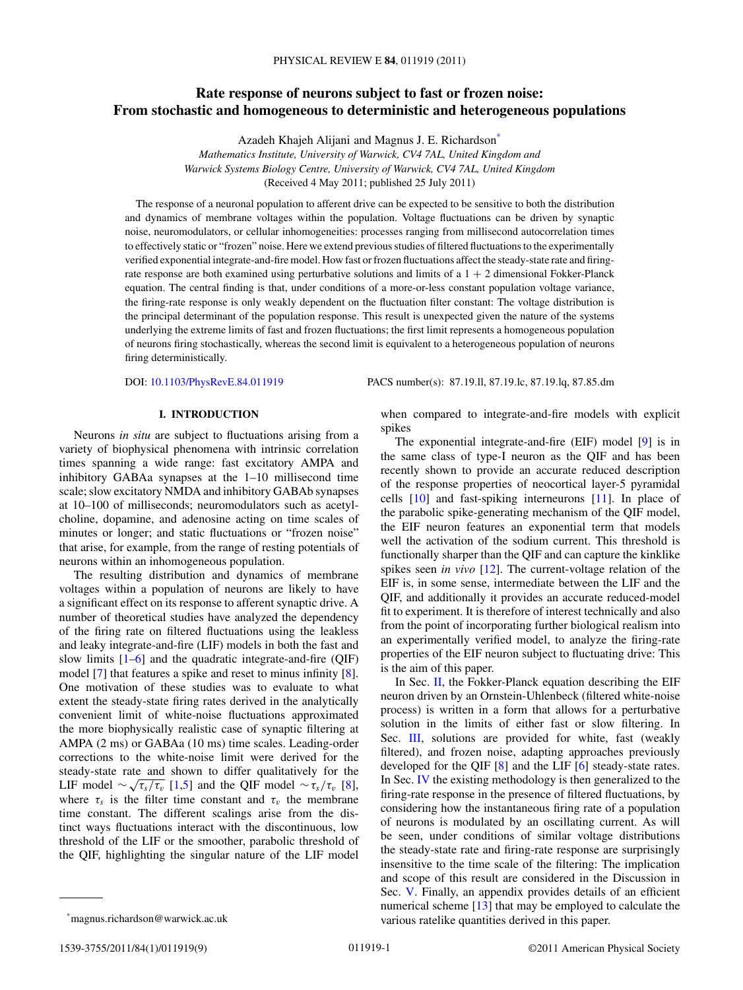# **Rate response of neurons subject to fast or frozen noise: From stochastic and homogeneous to deterministic and heterogeneous populations**

Azadeh Khajeh Alijani and Magnus J. E. Richardso[n\\*](#page-0-0)

*Mathematics Institute, University of Warwick, CV4 7AL, United Kingdom and Warwick Systems Biology Centre, University of Warwick, CV4 7AL, United Kingdom* (Received 4 May 2011; published 25 July 2011)

The response of a neuronal population to afferent drive can be expected to be sensitive to both the distribution and dynamics of membrane voltages within the population. Voltage fluctuations can be driven by synaptic noise, neuromodulators, or cellular inhomogeneities: processes ranging from millisecond autocorrelation times to effectively static or "frozen" noise. Here we extend previous studies of filtered fluctuations to the experimentally verified exponential integrate-and-fire model. How fast or frozen fluctuations affect the steady-state rate and firingrate response are both examined using perturbative solutions and limits of a 1 + 2 dimensional Fokker-Planck equation. The central finding is that, under conditions of a more-or-less constant population voltage variance, the firing-rate response is only weakly dependent on the fluctuation filter constant: The voltage distribution is the principal determinant of the population response. This result is unexpected given the nature of the systems underlying the extreme limits of fast and frozen fluctuations; the first limit represents a homogeneous population of neurons firing stochastically, whereas the second limit is equivalent to a heterogeneous population of neurons firing deterministically.

DOI: [10.1103/PhysRevE.84.011919](http://dx.doi.org/10.1103/PhysRevE.84.011919) PACS number(s): 87.19.ll, 87.19.lc, 87.19.lq, 87.85.dm

# **I. INTRODUCTION**

Neurons *in situ* are subject to fluctuations arising from a variety of biophysical phenomena with intrinsic correlation times spanning a wide range: fast excitatory AMPA and inhibitory GABAa synapses at the 1–10 millisecond time scale; slow excitatory NMDA and inhibitory GABAb synapses at 10–100 of milliseconds; neuromodulators such as acetylcholine, dopamine, and adenosine acting on time scales of minutes or longer; and static fluctuations or "frozen noise" that arise, for example, from the range of resting potentials of neurons within an inhomogeneous population.

The resulting distribution and dynamics of membrane voltages within a population of neurons are likely to have a significant effect on its response to afferent synaptic drive. A number of theoretical studies have analyzed the dependency of the firing rate on filtered fluctuations using the leakless and leaky integrate-and-fire (LIF) models in both the fast and slow limits  $[1-6]$  $[1-6]$  and the quadratic integrate-and-fire  $(QIF)$ model [\[7\]](#page-8-2) that features a spike and reset to minus infinity [\[8\]](#page-8-3). One motivation of these studies was to evaluate to what extent the steady-state firing rates derived in the analytically convenient limit of white-noise fluctuations approximated the more biophysically realistic case of synaptic filtering at AMPA (2 ms) or GABAa (10 ms) time scales. Leading-order corrections to the white-noise limit were derived for the steady-state rate and shown to differ qualitatively for the LIF model  $\sim \sqrt{\tau_s/\tau_v}$  [\[1,](#page-7-0)[5\]](#page-7-1) and the QIF model  $\sim \tau_s/\tau_v$  [\[8\]](#page-8-3), where  $\tau_s$  is the filter time constant and  $\tau_v$  the membrane time constant. The different scalings arise from the distinct ways fluctuations interact with the discontinuous, low threshold of the LIF or the smoother, parabolic threshold of the QIF, highlighting the singular nature of the LIF model when compared to integrate-and-fire models with explicit spikes

The exponential integrate-and-fire (EIF) model [\[9\]](#page-8-4) is in the same class of type-I neuron as the QIF and has been recently shown to provide an accurate reduced description of the response properties of neocortical layer-5 pyramidal cells [\[10\]](#page-8-5) and fast-spiking interneurons [\[11\]](#page-8-6). In place of the parabolic spike-generating mechanism of the QIF model, the EIF neuron features an exponential term that models well the activation of the sodium current. This threshold is functionally sharper than the QIF and can capture the kinklike spikes seen *in vivo* [\[12\]](#page-8-7). The current-voltage relation of the EIF is, in some sense, intermediate between the LIF and the QIF, and additionally it provides an accurate reduced-model fit to experiment. It is therefore of interest technically and also from the point of incorporating further biological realism into an experimentally verified model, to analyze the firing-rate properties of the EIF neuron subject to fluctuating drive: This is the aim of this paper.

In Sec. [II,](#page-1-0) the Fokker-Planck equation describing the EIF neuron driven by an Ornstein-Uhlenbeck (filtered white-noise process) is written in a form that allows for a perturbative solution in the limits of either fast or slow filtering. In Sec. [III,](#page-1-1) solutions are provided for white, fast (weakly filtered), and frozen noise, adapting approaches previously developed for the QIF [\[8\]](#page-8-3) and the LIF [\[6\]](#page-8-1) steady-state rates. In Sec. [IV](#page-4-0) the existing methodology is then generalized to the firing-rate response in the presence of filtered fluctuations, by considering how the instantaneous firing rate of a population of neurons is modulated by an oscillating current. As will be seen, under conditions of similar voltage distributions the steady-state rate and firing-rate response are surprisingly insensitive to the time scale of the filtering: The implication and scope of this result are considered in the Discussion in Sec. [V.](#page-6-0) Finally, an appendix provides details of an efficient numerical scheme [\[13\]](#page-8-0) that may be employed to calculate the various ratelike quantities derived in this paper.

<span id="page-0-0"></span><sup>\*</sup>magnus.richardson@warwick.ac.uk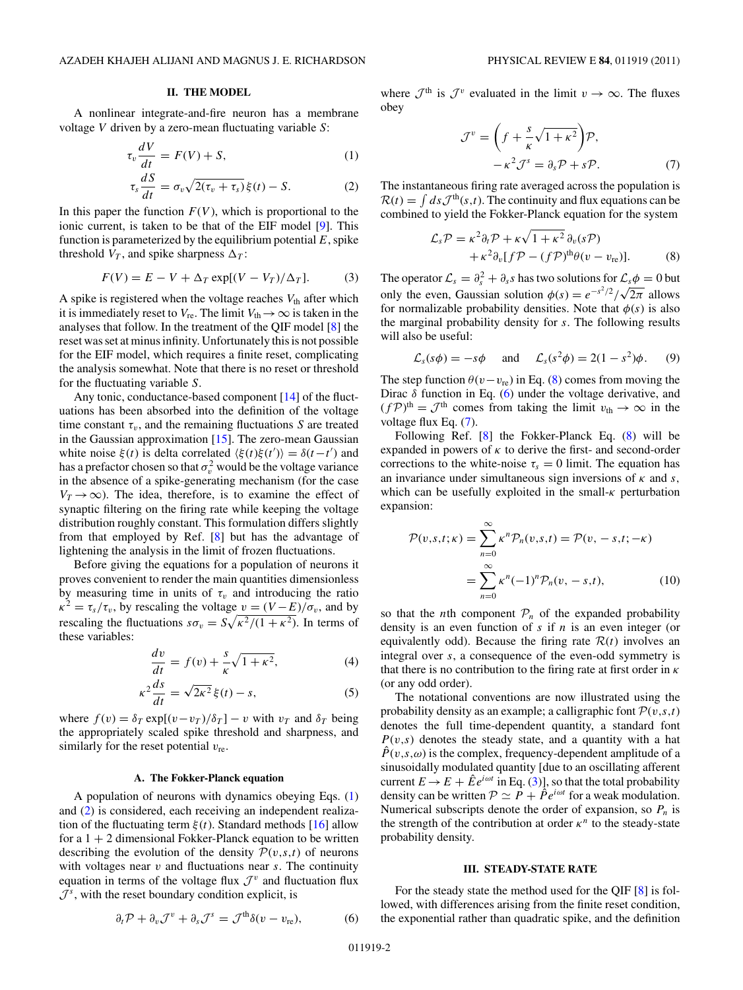## **II. THE MODEL**

<span id="page-1-5"></span><span id="page-1-3"></span><span id="page-1-2"></span><span id="page-1-0"></span>A nonlinear integrate-and-fire neuron has a membrane voltage  $V$  driven by a zero-mean fluctuating variable  $S$ :

$$
\tau_v \frac{dV}{dt} = F(V) + S,\tag{1}
$$

$$
\tau_s \frac{dS}{dt} = \sigma_v \sqrt{2(\tau_v + \tau_s)} \xi(t) - S.
$$
 (2)

<span id="page-1-8"></span><span id="page-1-6"></span>In this paper the function  $F(V)$ , which is proportional to the ionic current, is taken to be that of the EIF model [\[9\]](#page-8-4). This function is parameterized by the equilibrium potential  $E$ , spike threshold  $V_T$ , and spike sharpness  $\Delta_T$ :

$$
F(V) = E - V + \Delta_T \exp[(V - V_T)/\Delta_T].
$$
 (3)

A spike is registered when the voltage reaches  $V_{th}$  after which it is immediately reset to  $V_{\text{re}}$ . The limit  $V_{\text{th}} \rightarrow \infty$  is taken in the analyses that follow. In the treatment of the QIF model [\[8\]](#page-8-3) the reset was set at minus infinity. Unfortunately this is not possible for the EIF model, which requires a finite reset, complicating the analysis somewhat. Note that there is no reset or threshold for the fluctuating variable S.

Any tonic, conductance-based component [\[14\]](#page-8-8) of the fluctuations has been absorbed into the definition of the voltage time constant  $\tau_v$ , and the remaining fluctuations S are treated in the Gaussian approximation [\[15\]](#page-8-9). The zero-mean Gaussian white noise  $\xi(t)$  is delta correlated  $\langle \xi(t) \xi(t') \rangle = \delta(t-t')$  and has a prefactor chosen so that  $\sigma_v^2$  would be the voltage variance in the absence of a spike-generating mechanism (for the case  $V_T \rightarrow \infty$ ). The idea, therefore, is to examine the effect of synaptic filtering on the firing rate while keeping the voltage distribution roughly constant. This formulation differs slightly from that employed by Ref. [\[8\]](#page-8-3) but has the advantage of lightening the analysis in the limit of frozen fluctuations.

<span id="page-1-7"></span>Before giving the equations for a population of neurons it proves convenient to render the main quantities dimensionless by measuring time in units of  $\tau_v$  and introducing the ratio  $\kappa^2 = \tau_s/\tau_v$ , by rescaling the voltage  $v = (V - E)/\sigma_v$ , and by rescaling the fluctuations  $s\sigma_v = S\sqrt{\kappa^2/(1+\kappa^2)}$ . In terms of these variables:

$$
\frac{dv}{dt} = f(v) + \frac{s}{\kappa} \sqrt{1 + \kappa^2},\tag{4}
$$

$$
\kappa^2 \frac{ds}{dt} = \sqrt{2\kappa^2} \xi(t) - s,\tag{5}
$$

where  $f(v) = \delta_T \exp((v - v_T)/\delta_T) - v$  with  $v_T$  and  $\delta_T$  being the appropriately scaled spike threshold and sharpness, and similarly for the reset potential  $v_{\text{re}}$ .

#### **A. The Fokker-Planck equation**

<span id="page-1-4"></span><span id="page-1-1"></span>A population of neurons with dynamics obeying Eqs. [\(1\)](#page-1-2) and [\(2\)](#page-1-2) is considered, each receiving an independent realization of the fluctuating term  $\xi(t)$ . Standard methods [\[16\]](#page-8-1) allow for a  $1 + 2$  dimensional Fokker-Planck equation to be written describing the evolution of the density  $\mathcal{P}(v,s,t)$  of neurons with voltages near  $v$  and fluctuations near  $s$ . The continuity equation in terms of the voltage flux  $\mathcal{J}^v$  and fluctuation flux  $\mathcal{J}^s$ , with the reset boundary condition explicit, is

$$
\partial_t \mathcal{P} + \partial_v \mathcal{J}^v + \partial_s \mathcal{J}^s = \mathcal{J}^{\text{th}} \delta(v - v_{\text{re}}), \tag{6}
$$

where  $\mathcal{J}^{\text{th}}$  is  $\mathcal{J}^{\text{v}}$  evaluated in the limit  $v \to \infty$ . The fluxes obey

$$
\mathcal{J}^v = \left(f + \frac{s}{\kappa}\sqrt{1+\kappa^2}\right)\mathcal{P},
$$
  

$$
-\kappa^2 \mathcal{J}^s = \partial_s \mathcal{P} + s\mathcal{P}.
$$
 (7)

The instantaneous firing rate averaged across the population is  $\mathcal{R}(t) = \int ds \mathcal{J}^{th}(s,t)$ . The continuity and flux equations can be combined to yield the Fokker-Planck equation for the system

$$
\mathcal{L}_s \mathcal{P} = \kappa^2 \partial_t \mathcal{P} + \kappa \sqrt{1 + \kappa^2} \partial_v (s \mathcal{P}) \n+ \kappa^2 \partial_v [f \mathcal{P} - (f \mathcal{P})^{\text{th}} \theta (v - v_{\text{re}})].
$$
\n(8)

The operator  $\mathcal{L}_s = \partial_s^2 + \partial_s s$  has two solutions for  $\mathcal{L}_s \phi = 0$  but only the even, Gaussian solution  $\phi(s) = e^{-s^2/2}/\sqrt{2\pi}$  allows for normalizable probability densities. Note that  $\phi(s)$  is also the marginal probability density for s. The following results will also be useful:

$$
\mathcal{L}_s(s\phi) = -s\phi \quad \text{and} \quad \mathcal{L}_s(s^2\phi) = 2(1-s^2)\phi. \tag{9}
$$

The step function  $\theta(v-v_{\text{re}})$  in Eq. [\(8\)](#page-1-3) comes from moving the Dirac  $\delta$  function in Eq. [\(6\)](#page-1-4) under the voltage derivative, and  $(f \mathcal{P})^{\text{th}} = \mathcal{J}^{\text{th}}$  comes from taking the limit  $v_{\text{th}} \to \infty$  in the voltage flux Eq. [\(7\)](#page-1-5).

Following Ref. [\[8\]](#page-8-3) the Fokker-Planck Eq. [\(8\)](#page-1-3) will be expanded in powers of  $\kappa$  to derive the first- and second-order corrections to the white-noise  $\tau_s = 0$  limit. The equation has an invariance under simultaneous sign inversions of  $\kappa$  and s, which can be usefully exploited in the small- $\kappa$  perturbation expansion:

$$
\mathcal{P}(v,s,t;\kappa) = \sum_{n=0}^{\infty} \kappa^n \mathcal{P}_n(v,s,t) = \mathcal{P}(v,-s,t;-\kappa)
$$

$$
= \sum_{n=0}^{\infty} \kappa^n (-1)^n \mathcal{P}_n(v,-s,t), \qquad (10)
$$

so that the *n*th component  $P_n$  of the expanded probability density is an even function of  $s$  if  $n$  is an even integer (or equivalently odd). Because the firing rate  $\mathcal{R}(t)$  involves an integral over s, a consequence of the even-odd symmetry is that there is no contribution to the firing rate at first order in  $\kappa$ (or any odd order).

The notational conventions are now illustrated using the probability density as an example; a calligraphic font  $\mathcal{P}(v,s,t)$ denotes the full time-dependent quantity, a standard font  $P(v,s)$  denotes the steady state, and a quantity with a hat  $\hat{P}(v,s,\omega)$  is the complex, frequency-dependent amplitude of a sinusoidally modulated quantity [due to an oscillating afferent current  $E \to E + \hat{E}e^{i\omega t}$  in Eq. [\(3\)](#page-1-6)], so that the total probability density can be written  $P \simeq P + \hat{P} e^{i\omega t}$  for a weak modulation. Numerical subscripts denote the order of expansion, so  $P_n$  is the strength of the contribution at order  $\kappa^n$  to the steady-state probability density.

#### **III. STEADY-STATE RATE**

For the steady state the method used for the QIF [\[8\]](#page-8-3) is followed, with differences arising from the finite reset condition, the exponential rather than quadratic spike, and the definition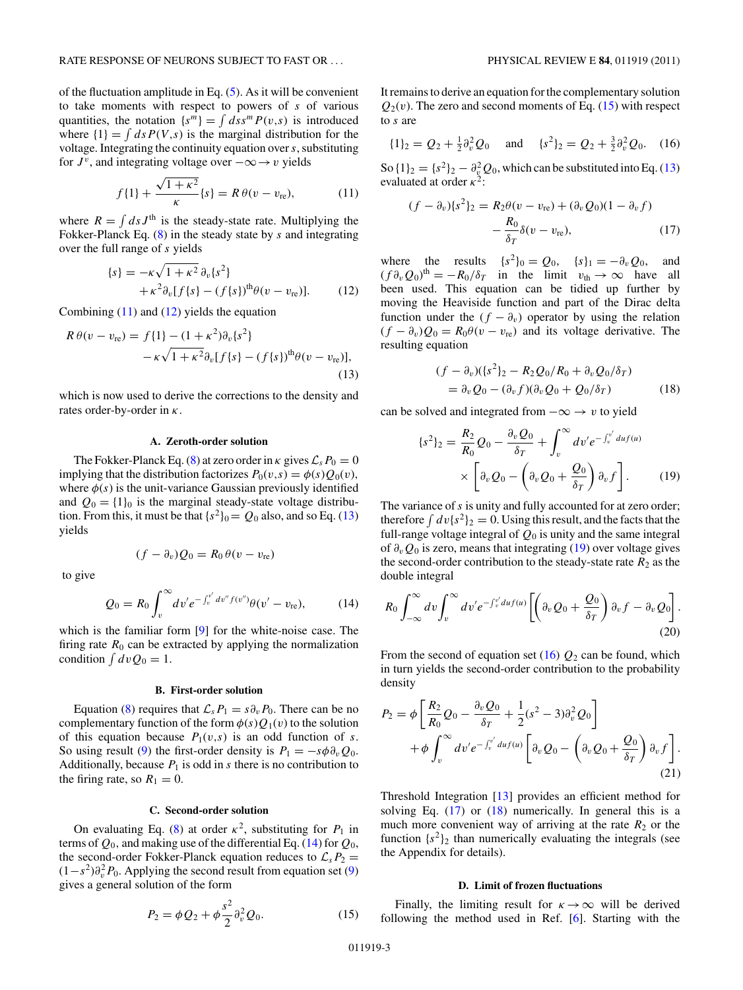<span id="page-2-7"></span><span id="page-2-6"></span><span id="page-2-0"></span>of the fluctuation amplitude in Eq. [\(5\)](#page-1-7). As it will be convenient to take moments with respect to powers of  $s$  of various quantities, the notation  $\{s^m\} = \int ds s^m P(v,s)$  is introduced where  $\{1\} = \int ds P(V, s)$  is the marginal distribution for the voltage. Integrating the continuity equation over  $s$ , substituting for  $J^{\nu}$ , and integrating voltage over  $-\infty \rightarrow \nu$  yields

$$
f\{1\} + \frac{\sqrt{1 + \kappa^2}}{\kappa} \{s\} = R \theta(v - v_{\text{re}}),
$$
 (11)

<span id="page-2-8"></span><span id="page-2-2"></span><span id="page-2-1"></span>where  $R = \int ds J^{th}$  is the steady-state rate. Multiplying the Fokker-Planck Eq. [\(8\)](#page-1-3) in the steady state by s and integrating over the full range of s yields

$$
\{s\} = -\kappa \sqrt{1 + \kappa^2} \partial_v \{s^2\} + \kappa^2 \partial_v [f\{s\} - (f\{s\})^{\text{th}} \theta(v - v_{\text{re}})].
$$
 (12)

<span id="page-2-5"></span>Combining  $(11)$  and  $(12)$  yields the equation

$$
R \theta(v - v_{\rm re}) = f\{1\} - (1 + \kappa^2) \partial_v \{s^2\} - \kappa \sqrt{1 + \kappa^2} \partial_v [f\{s\} - (f\{s\})^{\text{th}} \theta(v - v_{\rm re})],
$$
\n(13)

which is now used to derive the corrections to the density and rates order-by-order in  $\kappa$ .

# **A. Zeroth-order solution**

<span id="page-2-9"></span><span id="page-2-3"></span>The Fokker-Planck Eq. [\(8\)](#page-1-3) at zero order in  $\kappa$  gives  $\mathcal{L}_s P_0 = 0$ implying that the distribution factorizes  $P_0(v,s) = \phi(s)Q_0(v)$ , where  $\phi(s)$  is the unit-variance Gaussian previously identified and  $Q_0 = \{1\}_0$  is the marginal steady-state voltage distribution. From this, it must be that  $\{s^2\}_0 = Q_0$  also, and so Eq. [\(13\)](#page-2-2) yields

<span id="page-2-10"></span>to give

$$
(f - \partial_v)Q_0 = R_0 \theta(v - v_{\rm re})
$$

$$
Q_0 = R_0 \int_v^{\infty} dv' e^{-\int_v^{v'} dv'' f(v'')} \theta(v' - v_{\rm re}), \tag{14}
$$

which is the familiar form [\[9\]](#page-8-4) for the white-noise case. The firing rate  $R_0$  can be extracted by applying the normalization condition  $\int dv Q_0 = 1$ .

#### **B. First-order solution**

Equation [\(8\)](#page-1-3) requires that  $\mathcal{L}_s P_1 = s \partial_v P_0$ . There can be no complementary function of the form  $\phi(s)Q_1(v)$  to the solution of this equation because  $P_1(v,s)$  is an odd function of s. So using result [\(9\)](#page-1-8) the first-order density is  $P_1 = -s\phi \partial_v Q_0$ . Additionally, because  $P_1$  is odd in s there is no contribution to the firing rate, so  $R_1 = 0$ .

# **C. Second-order solution**

<span id="page-2-4"></span>On evaluating Eq. [\(8\)](#page-1-3) at order  $\kappa^2$ , substituting for  $P_1$  in terms of  $Q_0$ , and making use of the differential Eq. [\(14\)](#page-2-3) for  $Q_0$ , the second-order Fokker-Planck equation reduces to  $\mathcal{L}_s P_2$  =  $(1-s^2)\partial_v^2 P_0$ . Applying the second result from equation set [\(9\)](#page-1-8) gives a general solution of the form

$$
P_2 = \phi Q_2 + \phi \frac{s^2}{2} \partial_v^2 Q_0.
$$
 (15)

It remains to derive an equation for the complementary solution  $Q_2(v)$ . The zero and second moments of Eq. [\(15\)](#page-2-4) with respect to s are

$$
\{1\}_2 = Q_2 + \tfrac{1}{2}\partial_v^2 Q_0 \quad \text{and} \quad \{s^2\}_2 = Q_2 + \tfrac{3}{2}\partial_v^2 Q_0. \quad (16)
$$

So  $\{1\}_2 = \{s^2\}_2 - \partial_y^2 Q_0$ , which can be substituted into Eq. [\(13\)](#page-2-2) evaluated at order  $\kappa^2$ :

$$
(f - \partial_v)\lbrace s^2 \rbrace_2 = R_2\theta(v - v_{\rm re}) + (\partial_v Q_0)(1 - \partial_v f)
$$

$$
- \frac{R_0}{\delta_T}\delta(v - v_{\rm re}), \tag{17}
$$

where the results  $\{s^2\}_0 = Q_0$ ,  $\{s\}_1 = -\partial_v Q_0$ , and  $(f \partial_v Q_0)^{\text{th}} = -R_0/\delta_T$  in the limit  $v_{\text{th}} \to \infty$  have all been used. This equation can be tidied up further by moving the Heaviside function and part of the Dirac delta function under the  $(f - \partial_v)$  operator by using the relation  $(f - \partial_v)Q_0 = R_0\theta(v - v_{\text{re}})$  and its voltage derivative. The resulting equation

$$
(f - \partial_v)(\{s^2\}_2 - R_2 Q_0/R_0 + \partial_v Q_0/\delta_T)
$$
  
=  $\partial_v Q_0 - (\partial_v f)(\partial_v Q_0 + Q_0/\delta_T)$  (18)

can be solved and integrated from  $-\infty \rightarrow v$  to yield

$$
\{s^2\}_2 = \frac{R_2}{R_0}Q_0 - \frac{\partial_v Q_0}{\delta_T} + \int_v^\infty dv' e^{-\int_v^{v'} du f(u)} \times \left[\partial_v Q_0 - \left(\partial_v Q_0 + \frac{Q_0}{\delta_T}\right) \partial_v f\right].
$$
 (19)

The variance of  $s$  is unity and fully accounted for at zero order; therefore  $\int dv{s^2}_{2} = 0$ . Using this result, and the facts that the full-range voltage integral of  $Q_0$  is unity and the same integral of  $\partial_{v}Q_0$  is zero, means that integrating [\(19\)](#page-2-5) over voltage gives the second-order contribution to the steady-state rate  $R_2$  as the double integral

$$
R_0 \int_{-\infty}^{\infty} dv \int_{v}^{\infty} dv' e^{-\int_{v}^{v'} du f(u)} \left[ \left( \partial_{v} Q_0 + \frac{Q_0}{\delta_T} \right) \partial_{v} f - \partial_{v} Q_0 \right].
$$
\n(20)

From the second of equation set  $(16)$   $Q_2$  can be found, which in turn yields the second-order contribution to the probability density

$$
P_2 = \phi \left[ \frac{R_2}{R_0} Q_0 - \frac{\partial_v Q_0}{\delta_T} + \frac{1}{2} (s^2 - 3) \partial_v^2 Q_0 \right] + \phi \int_v^{\infty} dv' e^{-\int_v^{v'} du f(u)} \left[ \partial_v Q_0 - \left( \partial_v Q_0 + \frac{Q_0}{\delta_T} \right) \partial_v f \right].
$$
\n(21)

Threshold Integration [\[13\]](#page-8-0) provides an efficient method for solving Eq.  $(17)$  or  $(18)$  numerically. In general this is a much more convenient way of arriving at the rate  $R_2$  or the function  $\{s^2\}_2$  than numerically evaluating the integrals (see the Appendix for details).

### **D. Limit of frozen fluctuations**

Finally, the limiting result for  $\kappa \to \infty$  will be derived following the method used in Ref. [\[6\]](#page-8-1). Starting with the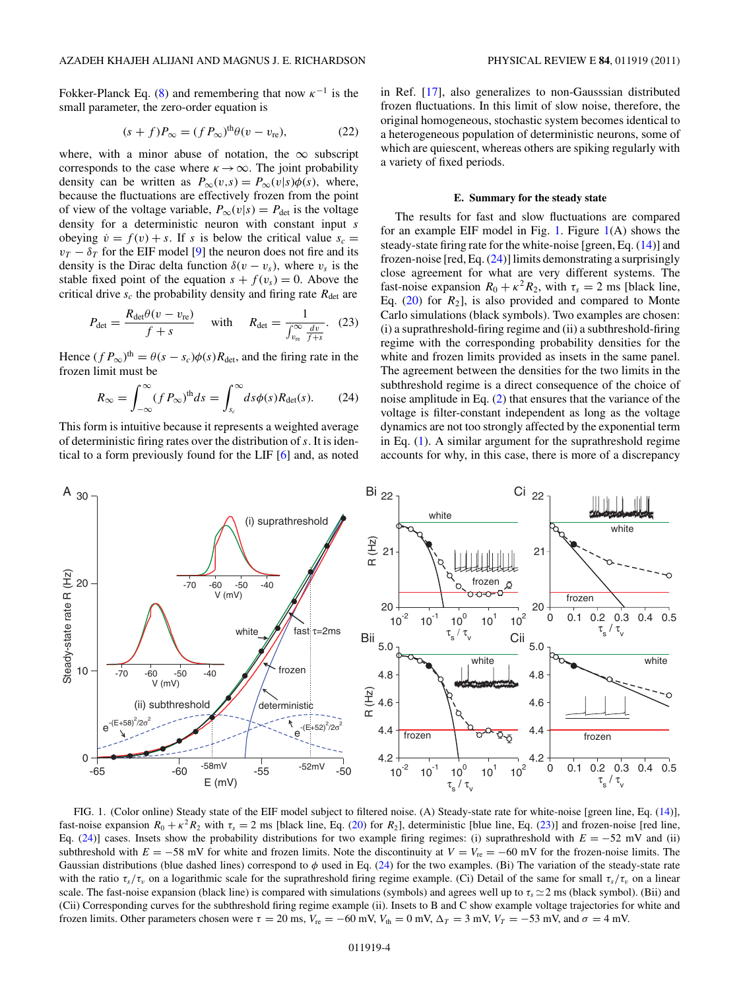Fokker-Planck Eq. [\(8\)](#page-1-3) and remembering that now  $\kappa^{-1}$  is the small parameter, the zero-order equation is

$$
(s+f)P_{\infty} = (fP_{\infty})^{\text{th}}\theta(v-v_{\text{re}}),\tag{22}
$$

<span id="page-3-2"></span>where, with a minor abuse of notation, the  $\infty$  subscript corresponds to the case where  $\kappa \to \infty$ . The joint probability density can be written as  $P_{\infty}(v,s) = P_{\infty}(v|s)\phi(s)$ , where, because the fluctuations are effectively frozen from the point of view of the voltage variable,  $P_{\infty}(v|s) = P_{\text{det}}$  is the voltage density for a deterministic neuron with constant input s obeying  $\dot{v} = f(v) + s$ . If s is below the critical value  $s_c$  =  $v_T - \delta_T$  for the EIF model [\[9\]](#page-8-4) the neuron does not fire and its density is the Dirac delta function  $\delta(v - v_s)$ , where  $v_s$  is the stable fixed point of the equation  $s + f(v_s) = 0$ . Above the critical drive  $s_c$  the probability density and firing rate  $R_{\text{det}}$  are

$$
P_{\text{det}} = \frac{R_{\text{det}}\theta(v - v_{\text{re}})}{f + s} \quad \text{with} \quad R_{\text{det}} = \frac{1}{\int_{v_{\text{re}}}^{\infty} \frac{dv}{f + s}}. \tag{23}
$$

<span id="page-3-0"></span>Hence  $(f P_{\infty})^{\text{th}} = \theta(s - s_c) \phi(s) R_{\text{det}}$ , and the firing rate in the frozen limit must be

$$
R_{\infty} = \int_{-\infty}^{\infty} (f P_{\infty})^{\text{th}} ds = \int_{s_c}^{\infty} ds \phi(s) R_{\text{det}}(s). \tag{24}
$$

<span id="page-3-1"></span>This form is intuitive because it represents a weighted average of deterministic firing rates over the distribution of  $s$ . It is identical to a form previously found for the LIF [\[6\]](#page-8-1) and, as noted in Ref. [\[17\]](#page-8-10), also generalizes to non-Gausssian distributed frozen fluctuations. In this limit of slow noise, therefore, the original homogeneous, stochastic system becomes identical to a heterogeneous population of deterministic neurons, some of which are quiescent, whereas others are spiking regularly with

#### **E. Summary for the steady state**

a variety of fixed periods.

The results for fast and slow fluctuations are compared for an example EIF model in Fig. [1.](#page-3-1) Figure  $1(A)$  $1(A)$  shows the steady-state firing rate for the white-noise [green, Eq. [\(14\)](#page-2-3)] and frozen-noise  $[red, Eq. (24)]$  $[red, Eq. (24)]$  $[red, Eq. (24)]$  limits demonstrating a surprisingly close agreement for what are very different systems. The fast-noise expansion  $R_0 + \kappa^2 R_2$ , with  $\tau_s = 2$  ms [black line, Eq.  $(20)$  for  $R_2$ ], is also provided and compared to Monte Carlo simulations (black symbols). Two examples are chosen: (i) a suprathreshold-firing regime and (ii) a subthreshold-firing regime with the corresponding probability densities for the white and frozen limits provided as insets in the same panel. The agreement between the densities for the two limits in the subthreshold regime is a direct consequence of the choice of noise amplitude in Eq. [\(2\)](#page-1-2) that ensures that the variance of the voltage is filter-constant independent as long as the voltage dynamics are not too strongly affected by the exponential term in Eq. [\(1\)](#page-1-2). A similar argument for the suprathreshold regime accounts for why, in this case, there is more of a discrepancy



FIG. 1. (Color online) Steady state of the EIF model subject to filtered noise. (A) Steady-state rate for white-noise [green line, Eq. [\(14\)](#page-2-3)], fast-noise expansion  $R_0 + \kappa^2 R_2$  with  $\tau_s = 2$  ms [black line, Eq. [\(20\)](#page-2-9) for  $R_2$ ], deterministic [blue line, Eq. [\(23\)](#page-3-2)] and frozen-noise [red line, Eq. [\(24\)](#page-3-0)] cases. Insets show the probability distributions for two example firing regimes: (i) suprathreshold with  $E = -52$  mV and (ii) subthreshold with  $E = -58$  mV for white and frozen limits. Note the discontinuity at  $V = V_{\text{re}} = -60$  mV for the frozen-noise limits. The Gaussian distributions (blue dashed lines) correspond to  $\phi$  used in Eq. [\(24\)](#page-3-0) for the two examples. (Bi) The variation of the steady-state rate with the ratio  $\tau_s/\tau_v$  on a logarithmic scale for the suprathreshold firing regime example. (Ci) Detail of the same for small  $\tau_s/\tau_v$  on a linear scale. The fast-noise expansion (black line) is compared with simulations (symbols) and agrees well up to  $\tau_s \approx 2$  ms (black symbol). (Bii) and (Cii) Corresponding curves for the subthreshold firing regime example (ii). Insets to B and C show example voltage trajectories for white and frozen limits. Other parameters chosen were  $\tau = 20$  ms,  $V_{\text{re}} = -60$  mV,  $V_{\text{th}} = 0$  mV,  $\Delta_T = 3$  mV,  $V_T = -53$  mV, and  $\sigma = 4$  mV.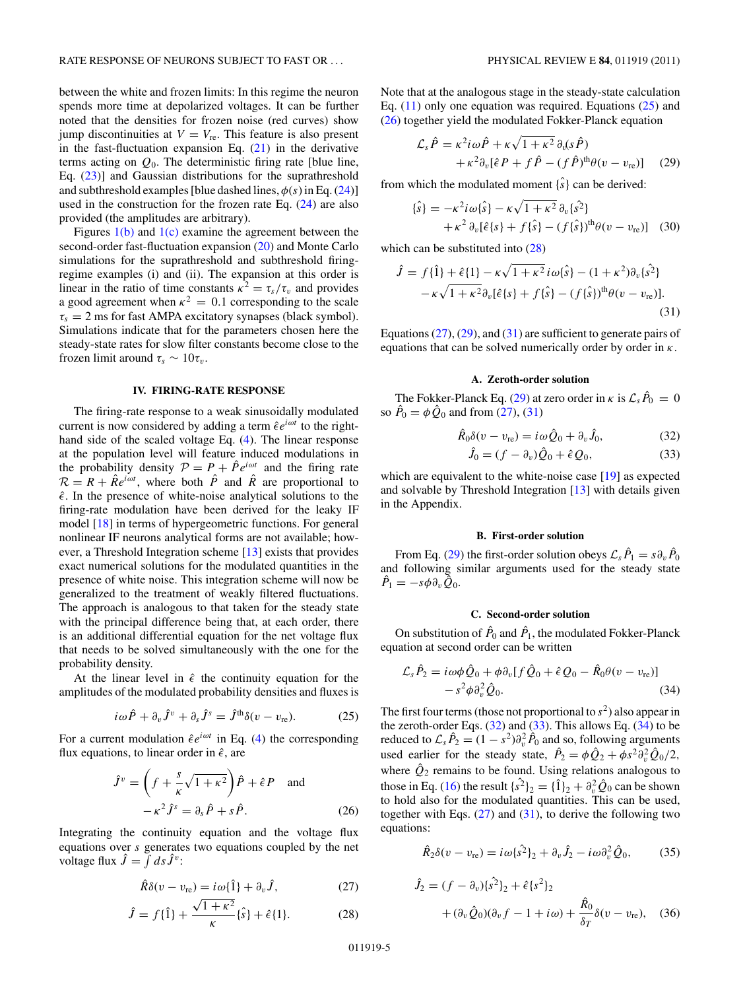<span id="page-4-5"></span><span id="page-4-1"></span>between the white and frozen limits: In this regime the neuron spends more time at depolarized voltages. It can be further noted that the densities for frozen noise (red curves) show jump discontinuities at  $V = V_{\text{re}}$ . This feature is also present in the fast-fluctuation expansion Eq.  $(21)$  in the derivative terms acting on  $Q_0$ . The deterministic firing rate [blue line, Eq. [\(23\)](#page-3-2)] and Gaussian distributions for the suprathreshold and subthreshold examples [blue dashed lines,  $\phi(s)$  in Eq. [\(24\)](#page-3-0)] used in the construction for the frozen rate Eq.  $(24)$  are also provided (the amplitudes are arbitrary).

<span id="page-4-0"></span>Figures  $1(b)$  and  $1(c)$  examine the agreement between the second-order fast-fluctuation expansion [\(20\)](#page-2-9) and Monte Carlo simulations for the suprathreshold and subthreshold firingregime examples (i) and (ii). The expansion at this order is linear in the ratio of time constants  $\kappa^2 = \tau_s/\tau_v$  and provides a good agreement when  $\kappa^2 = 0.1$  corresponding to the scale  $\tau_s = 2$  ms for fast AMPA excitatory synapses (black symbol). Simulations indicate that for the parameters chosen here the steady-state rates for slow filter constants become close to the frozen limit around  $\tau_s \sim 10 \tau_v$ .

## **IV. FIRING-RATE RESPONSE**

<span id="page-4-6"></span>The firing-rate response to a weak sinusoidally modulated current is now considered by adding a term  $\hat{\epsilon}e^{i\omega t}$  to the righthand side of the scaled voltage Eq. [\(4\)](#page-1-7). The linear response at the population level will feature induced modulations in the probability density  $\mathcal{P} = P + \hat{P}e^{i\omega t}$  and the firing rate  $R = R + \hat{R}e^{i\omega t}$ , where both  $\hat{P}$  and  $\hat{R}$  are proportional to  $\hat{\epsilon}$ . In the presence of white-noise analytical solutions to the firing-rate modulation have been derived for the leaky IF model [\[18\]](#page-8-11) in terms of hypergeometric functions. For general nonlinear IF neurons analytical forms are not available; however, a Threshold Integration scheme [\[13\]](#page-8-0) exists that provides exact numerical solutions for the modulated quantities in the presence of white noise. This integration scheme will now be generalized to the treatment of weakly filtered fluctuations. The approach is analogous to that taken for the steady state with the principal difference being that, at each order, there is an additional differential equation for the net voltage flux that needs to be solved simultaneously with the one for the probability density.

<span id="page-4-7"></span><span id="page-4-3"></span><span id="page-4-2"></span>At the linear level in  $\hat{\epsilon}$  the continuity equation for the amplitudes of the modulated probability densities and fluxes is

$$
i\omega\hat{P} + \partial_v\hat{J}^v + \partial_s\hat{J}^s = \hat{J}^{\text{th}}\delta(v - v_{\text{re}}). \tag{25}
$$

<span id="page-4-9"></span><span id="page-4-8"></span><span id="page-4-4"></span>For a current modulation  $\hat{\epsilon}e^{i\omega t}$  in Eq. [\(4\)](#page-1-7) the corresponding flux equations, to linear order in  $\hat{\epsilon}$ , are

$$
\hat{J}^v = \left(f + \frac{s}{\kappa}\sqrt{1+\kappa^2}\right)\hat{P} + \hat{\epsilon}P \text{ and } -\kappa^2 \hat{J}^s = \partial_s \hat{P} + s\hat{P}.
$$
 (26)

Integrating the continuity equation and the voltage flux equations over s generates two equations coupled by the net voltage flux  $\hat{J} = \int ds \hat{J}^v$ :

$$
\hat{R}\delta(v - v_{\rm re}) = i\omega\{\hat{1}\} + \partial_v\hat{J},\tag{27}
$$

$$
\hat{J} = f\{\hat{1}\} + \frac{\sqrt{1 + \kappa^2}}{\kappa} \{\hat{s}\} + \hat{\epsilon}\{1\}.
$$
 (28)

Note that at the analogous stage in the steady-state calculation Eq. [\(11\)](#page-2-0) only one equation was required. Equations [\(25\)](#page-4-2) and [\(26\)](#page-4-3) together yield the modulated Fokker-Planck equation

$$
\mathcal{L}_s \hat{P} = \kappa^2 i \omega \hat{P} + \kappa \sqrt{1 + \kappa^2} \partial_v (s \hat{P}) \n+ \kappa^2 \partial_v [\hat{\epsilon} P + f \hat{P} - (f \hat{P})^{\text{th}} \theta (v - v_{\text{re}})]
$$
\n(29)

from which the modulated moment  $\{\hat{s}\}\$ can be derived:

$$
\{\hat{s}\} = -\kappa^2 i\omega\{\hat{s}\} - \kappa\sqrt{1+\kappa^2} \partial_v \{\hat{s}^2\} + \kappa^2 \partial_v [\hat{\epsilon}\{s\} + f\{\hat{s}\} - (f\{\hat{s}\})^{\text{th}} \theta(v - v_{\text{re}})]
$$
 (30)

which can be substituted into [\(28\)](#page-4-4)

$$
\hat{J} = f\{\hat{1}\} + \hat{\epsilon}\{1\} - \kappa\sqrt{1 + \kappa^2} i\omega\{\hat{s}\} - (1 + \kappa^2)\partial_v\{\hat{s}^2\} - \kappa\sqrt{1 + \kappa^2}\partial_v[\hat{\epsilon}\{s\} + f\{\hat{s}\} - (f\{\hat{s}\})^{\text{th}}\theta(v - v_{\text{re}})].
$$
\n(31)

Equations  $(27)$ ,  $(29)$ , and  $(31)$  are sufficient to generate pairs of equations that can be solved numerically order by order in  $\kappa$ .

#### **A. Zeroth-order solution**

The Fokker-Planck Eq. [\(29\)](#page-4-5) at zero order in  $\kappa$  is  $\mathcal{L}_s \hat{P}_0 = 0$ so  $\hat{P}_0 = \phi \hat{Q}_0$  and from [\(27\)](#page-4-4), [\(31\)](#page-4-1)

$$
\hat{R}_0 \delta(v - v_{\rm re}) = i\omega \hat{Q}_0 + \partial_v \hat{J}_0, \tag{32}
$$

$$
\hat{J}_0 = (f - \partial_v)\hat{Q}_0 + \hat{\epsilon}\hat{Q}_0,\tag{33}
$$

which are equivalent to the white-noise case [\[19\]](#page-8-12) as expected and solvable by Threshold Integration [\[13\]](#page-8-0) with details given in the Appendix.

#### **B. First-order solution**

From Eq. [\(29\)](#page-4-5) the first-order solution obeys  $\mathcal{L}_s \hat{P}_1 = s \partial_v \hat{P}_0$ and following similar arguments used for the steady state  $\hat{P}_1 = -s\phi\partial_v\tilde{Q}_0.$ 

# **C. Second-order solution**

On substitution of  $\hat{P}_0$  and  $\hat{P}_1$ , the modulated Fokker-Planck equation at second order can be written

$$
\mathcal{L}_s \hat{P}_2 = i \omega \phi \hat{Q}_0 + \phi \partial_v [f \hat{Q}_0 + \hat{\epsilon} Q_0 - \hat{R}_0 \theta (v - v_{\rm re})] \n- s^2 \phi \partial_v^2 \hat{Q}_0.
$$
\n(34)

The first four terms (those not proportional to  $s^2$ ) also appear in the zeroth-order Eqs.  $(32)$  and  $(33)$ . This allows Eq.  $(34)$  to be reduced to  $\mathcal{L}_s \hat{P}_2 = (1 - s^2) \partial_v^2 \hat{P}_0$  and so, following arguments used earlier for the steady state,  $\hat{P}_2 = \phi \hat{Q}_2 + \phi s^2 \partial_v^2 \hat{Q}_0 / 2$ , where  $\hat{Q}_2$  remains to be found. Using relations analogous to those in Eq. [\(16\)](#page-2-6) the result  $\{\hat{s}^2\}_2 = \{\hat{1}\}_2 + \partial_v^2 \hat{Q}_0$  can be shown to hold also for the modulated quantities. This can be used, together with Eqs.  $(27)$  and  $(31)$ , to derive the following two equations:

$$
\hat{R}_2 \delta(v - v_{\rm re}) = i\omega \{\hat{s}^2\}_2 + \partial_v \hat{J}_2 - i\omega \partial_v^2 \hat{Q}_0, \qquad (35)
$$

$$
\hat{J}_2 = (f - \partial_v) \{ \hat{s}^2 \}_2 + \hat{\epsilon} \{ s^2 \}_2 \n+ (\partial_v \hat{Q}_0)(\partial_v f - 1 + i\omega) + \frac{\hat{R}_0}{\delta_T} \delta(v - v_{\text{re}}),
$$
\n(36)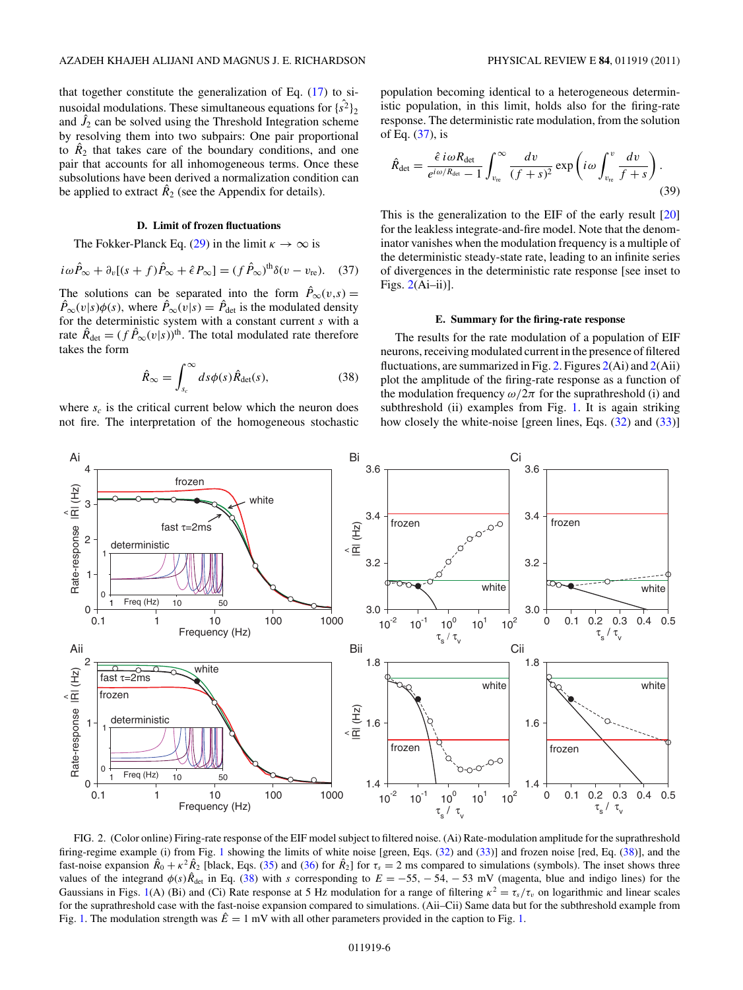<span id="page-5-3"></span><span id="page-5-0"></span>that together constitute the generalization of Eq. [\(17\)](#page-2-7) to sinusoidal modulations. These simultaneous equations for  $\{s^2\}_2$ and  $\hat{J}_2$  can be solved using the Threshold Integration scheme by resolving them into two subpairs: One pair proportional to  $\hat{R}_2$  that takes care of the boundary conditions, and one pair that accounts for all inhomogeneous terms. Once these subsolutions have been derived a normalization condition can be applied to extract  $\hat{R}_2$  (see the Appendix for details).

# **D. Limit of frozen fluctuations**

The Fokker-Planck Eq. [\(29\)](#page-4-5) in the limit  $\kappa \to \infty$  is

<span id="page-5-2"></span>
$$
i\omega \hat{P}_{\infty} + \partial_v [(s+f)\hat{P}_{\infty} + \hat{\epsilon} P_{\infty}] = (f\hat{P}_{\infty})^{\text{th}} \delta(v - v_{\text{re}}). \quad (37)
$$

The solutions can be separated into the form  $\hat{P}_{\infty}(v,s) =$  $\hat{P}_{\infty}(v|s)\phi(s)$ , where  $\hat{P}_{\infty}(v|s) = \hat{P}_{\text{det}}$  is the modulated density for the deterministic system with a constant current  $s$  with a rate  $\hat{R}_{\text{det}} = (f \hat{P}_{\infty}(v | s))^{\text{th}}$ . The total modulated rate therefore takes the form

$$
\hat{R}_{\infty} = \int_{s_c}^{\infty} ds \phi(s) \hat{R}_{\text{det}}(s), \tag{38}
$$

<span id="page-5-1"></span>where  $s_c$  is the critical current below which the neuron does not fire. The interpretation of the homogeneous stochastic population becoming identical to a heterogeneous deterministic population, in this limit, holds also for the firing-rate response. The deterministic rate modulation, from the solution of Eq. [\(37\)](#page-5-0), is

$$
\hat{R}_{\text{det}} = \frac{\hat{\epsilon} \, i \omega R_{\text{det}}}{e^{i \omega/R_{\text{det}}} - 1} \int_{v_{\text{re}}}^{\infty} \frac{dv}{(f+s)^2} \exp\left(i \omega \int_{v_{\text{re}}}^{v} \frac{dv}{f+s}\right). \tag{39}
$$

This is the generalization to the EIF of the early result [\[20\]](#page-8-4) for the leakless integrate-and-fire model. Note that the denominator vanishes when the modulation frequency is a multiple of the deterministic steady-state rate, leading to an infinite series of divergences in the deterministic rate response [see inset to Figs.  $2(Ai-ii)$  $2(Ai-ii)$ ].

# **E. Summary for the firing-rate response**

The results for the rate modulation of a population of EIF neurons, receiving modulated current in the presence of filtered fluctuations, are summarized in Fig. [2.](#page-5-1) Figures  $2(Ai)$  $2(Ai)$  and  $2(Aii)$ plot the amplitude of the firing-rate response as a function of the modulation frequency  $\omega/2\pi$  for the suprathreshold (i) and subthreshold (ii) examples from Fig. [1.](#page-3-1) It is again striking how closely the white-noise [green lines, Eqs. [\(32\)](#page-4-6) and [\(33\)](#page-4-6)]



FIG. 2. (Color online) Firing-rate response of the EIF model subject to filtered noise. (Ai) Rate-modulation amplitude for the suprathreshold firing-regime example (i) from Fig. [1](#page-3-1) showing the limits of white noise [green, Eqs. [\(32\)](#page-4-6) and [\(33\)](#page-4-6)] and frozen noise [red, Eq. [\(38\)](#page-5-2)], and the fast-noise expansion  $\hat{R}_0 + \kappa^2 \hat{R}_2$  [black, Eqs. [\(35\)](#page-4-8) and [\(36\)](#page-4-9) for  $\hat{R}_2$ ] for  $\tau_s = 2$  ms compared to simulations (symbols). The inset shows three values of the integrand  $\phi(s)\hat{R}_{\text{det}}$  in Eq. [\(38\)](#page-5-2) with s corresponding to  $E = -55$ ,  $-54$ ,  $-53$  mV (magenta, blue and indigo lines) for the Gaussians in Figs. [1\(](#page-3-1)A) (Bi) and (Ci) Rate response at 5 Hz modulation for a range of filtering  $\kappa^2 = \tau_s/\tau_v$  on logarithmic and linear scales for the suprathreshold case with the fast-noise expansion compared to simulations. (Aii–Cii) Same data but for the subthreshold example from Fig. [1.](#page-3-1) The modulation strength was  $\hat{E} = 1$  mV with all other parameters provided in the caption to Fig. 1.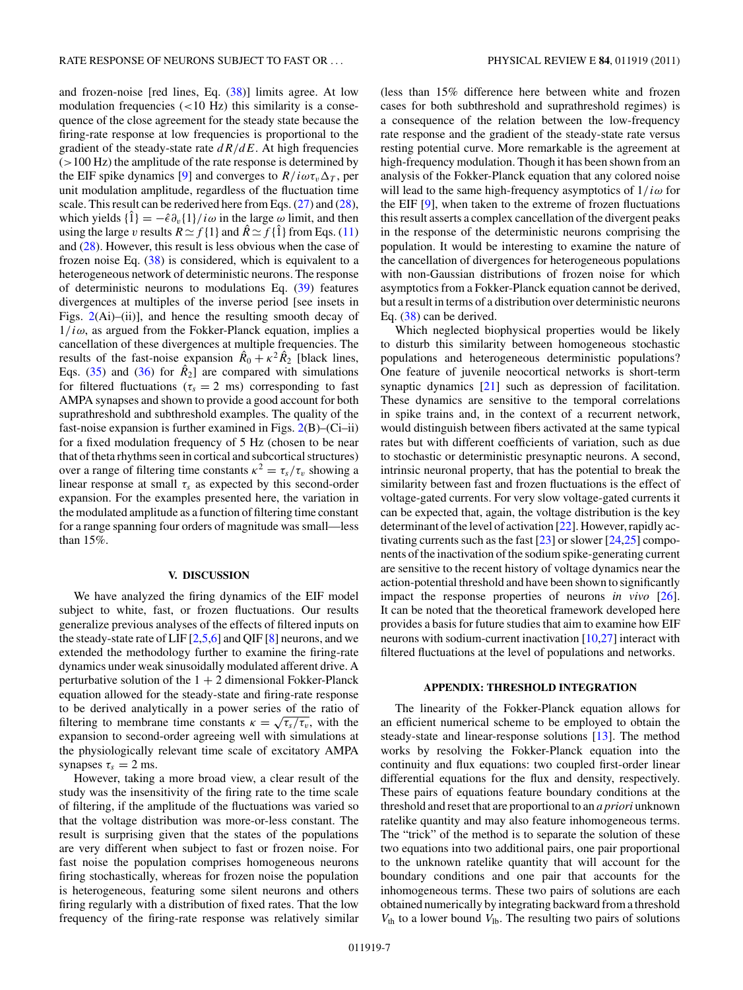and frozen-noise [red lines, Eq. [\(38\)](#page-5-2)] limits agree. At low modulation frequencies  $\left($  < 10 Hz) this similarity is a consequence of the close agreement for the steady state because the firing-rate response at low frequencies is proportional to the gradient of the steady-state rate  $dR/dE$ . At high frequencies (>100 Hz) the amplitude of the rate response is determined by the EIF spike dynamics [\[9\]](#page-8-4) and converges to  $R/i\omega\tau_v\Delta_T$ , per unit modulation amplitude, regardless of the fluctuation time scale. This result can be rederived here from Eqs.  $(27)$  and  $(28)$ , which yields  $\{1\} = -\hat{\epsilon}\partial_{\nu}\{1\}/i\omega$  in the large  $\omega$  limit, and then using the large v results  $R \simeq f\{1\}$  and  $\hat{R} \simeq f\{\hat{1}\}\$  from Eqs. [\(11\)](#page-2-0) and  $(28)$ . However, this result is less obvious when the case of frozen noise Eq.  $(38)$  is considered, which is equivalent to a heterogeneous network of deterministic neurons. The response of deterministic neurons to modulations Eq. [\(39\)](#page-5-3) features divergences at multiples of the inverse period [see insets in Figs.  $2(Ai)$  $2(Ai)$ –(ii)], and hence the resulting smooth decay of  $1/i\omega$ , as argued from the Fokker-Planck equation, implies a cancellation of these divergences at multiple frequencies. The results of the fast-noise expansion  $\hat{R}_0 + \kappa^2 \hat{R}_2$  [black lines, Eqs. [\(35\)](#page-4-8) and [\(36\)](#page-4-9) for  $\hat{R}_2$ ] are compared with simulations for filtered fluctuations ( $\tau_s = 2$  ms) corresponding to fast AMPA synapses and shown to provide a good account for both suprathreshold and subthreshold examples. The quality of the fast-noise expansion is further examined in Figs. [2\(](#page-5-1)B)–(Ci–ii) for a fixed modulation frequency of 5 Hz (chosen to be near that of theta rhythms seen in cortical and subcortical structures) over a range of filtering time constants  $\kappa^2 = \tau_s/\tau_v$  showing a linear response at small  $\tau_s$  as expected by this second-order expansion. For the examples presented here, the variation in the modulated amplitude as a function of filtering time constant for a range spanning four orders of magnitude was small—less than 15%.

# **V. DISCUSSION**

<span id="page-6-0"></span>We have analyzed the firing dynamics of the EIF model subject to white, fast, or frozen fluctuations. Our results generalize previous analyses of the effects of filtered inputs on the steady-state rate of LIF  $[2,5,6]$  $[2,5,6]$  $[2,5,6]$  and QIF  $[8]$  neurons, and we extended the methodology further to examine the firing-rate dynamics under weak sinusoidally modulated afferent drive. A perturbative solution of the  $1 + 2$  dimensional Fokker-Planck equation allowed for the steady-state and firing-rate response to be derived analytically in a power series of the ratio of filtering to membrane time constants  $\kappa = \sqrt{\tau_s/\tau_v}$ , with the expansion to second-order agreeing well with simulations at the physiologically relevant time scale of excitatory AMPA synapses  $\tau_s = 2$  ms.

However, taking a more broad view, a clear result of the study was the insensitivity of the firing rate to the time scale of filtering, if the amplitude of the fluctuations was varied so that the voltage distribution was more-or-less constant. The result is surprising given that the states of the populations are very different when subject to fast or frozen noise. For fast noise the population comprises homogeneous neurons firing stochastically, whereas for frozen noise the population is heterogeneous, featuring some silent neurons and others firing regularly with a distribution of fixed rates. That the low frequency of the firing-rate response was relatively similar

cases for both subthreshold and suprathreshold regimes) is a consequence of the relation between the low-frequency rate response and the gradient of the steady-state rate versus resting potential curve. More remarkable is the agreement at high-frequency modulation. Though it has been shown from an analysis of the Fokker-Planck equation that any colored noise will lead to the same high-frequency asymptotics of  $1/i\omega$  for the EIF [\[9\]](#page-8-4), when taken to the extreme of frozen fluctuations this result asserts a complex cancellation of the divergent peaks in the response of the deterministic neurons comprising the population. It would be interesting to examine the nature of the cancellation of divergences for heterogeneous populations with non-Gaussian distributions of frozen noise for which asymptotics from a Fokker-Planck equation cannot be derived, but a result in terms of a distribution over deterministic neurons Eq. [\(38\)](#page-5-2) can be derived.

(less than 15% difference here between white and frozen

Which neglected biophysical properties would be likely to disturb this similarity between homogeneous stochastic populations and heterogeneous deterministic populations? One feature of juvenile neocortical networks is short-term synaptic dynamics [\[21\]](#page-8-13) such as depression of facilitation. These dynamics are sensitive to the temporal correlations in spike trains and, in the context of a recurrent network, would distinguish between fibers activated at the same typical rates but with different coefficients of variation, such as due to stochastic or deterministic presynaptic neurons. A second, intrinsic neuronal property, that has the potential to break the similarity between fast and frozen fluctuations is the effect of voltage-gated currents. For very slow voltage-gated currents it can be expected that, again, the voltage distribution is the key determinant of the level of activation [\[22\]](#page-8-14). However, rapidly activating currents such as the fast  $[23]$  or slower  $[24,25]$  $[24,25]$  components of the inactivation of the sodium spike-generating current are sensitive to the recent history of voltage dynamics near the action-potential threshold and have been shown to significantly impact the response properties of neurons *in vivo* [\[26\]](#page-8-8). It can be noted that the theoretical framework developed here provides a basis for future studies that aim to examine how EIF neurons with sodium-current inactivation [\[10](#page-8-5)[,27\]](#page-8-9) interact with filtered fluctuations at the level of populations and networks.

## **APPENDIX: THRESHOLD INTEGRATION**

The linearity of the Fokker-Planck equation allows for an efficient numerical scheme to be employed to obtain the steady-state and linear-response solutions [\[13\]](#page-8-0). The method works by resolving the Fokker-Planck equation into the continuity and flux equations: two coupled first-order linear differential equations for the flux and density, respectively. These pairs of equations feature boundary conditions at the threshold and reset that are proportional to an *a priori* unknown ratelike quantity and may also feature inhomogeneous terms. The "trick" of the method is to separate the solution of these two equations into two additional pairs, one pair proportional to the unknown ratelike quantity that will account for the boundary conditions and one pair that accounts for the inhomogeneous terms. These two pairs of solutions are each obtained numerically by integrating backward from a threshold  $V_{\text{th}}$  to a lower bound  $V_{\text{lb}}$ . The resulting two pairs of solutions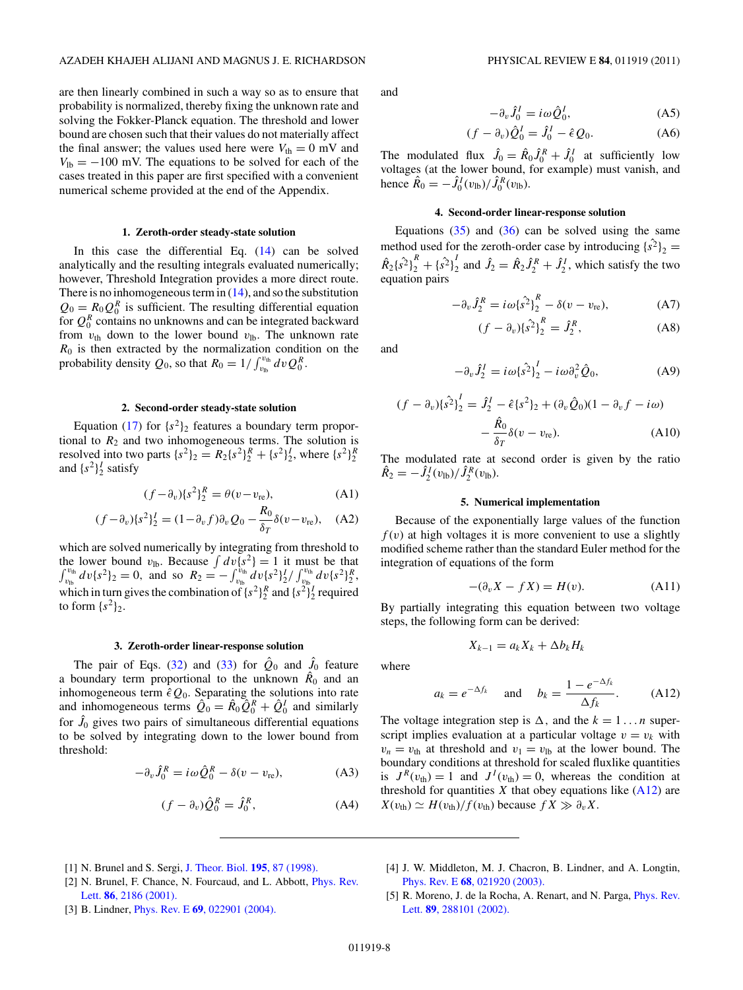are then linearly combined in such a way so as to ensure that probability is normalized, thereby fixing the unknown rate and solving the Fokker-Planck equation. The threshold and lower bound are chosen such that their values do not materially affect the final answer; the values used here were  $V_{\text{th}} = 0$  mV and  $V_{\text{lb}} = -100$  mV. The equations to be solved for each of the cases treated in this paper are first specified with a convenient numerical scheme provided at the end of the Appendix.

#### **1. Zeroth-order steady-state solution**

In this case the differential Eq.  $(14)$  can be solved analytically and the resulting integrals evaluated numerically; however, Threshold Integration provides a more direct route. There is no inhomogeneous term in  $(14)$ , and so the substitution  $Q_0 = R_0 Q_0^R$  is sufficient. The resulting differential equation for  $Q_0^R$  contains no unknowns and can be integrated backward from  $v_{\text{th}}$  down to the lower bound  $v_{\text{lb}}$ . The unknown rate  $R_0$  is then extracted by the normalization condition on the probability density  $Q_0$ , so that  $R_0 = 1 / \int_{v_{\text{lb}}}^{v_{\text{th}}} dv Q_0^R$ .

#### **2. Second-order steady-state solution**

Equation [\(17\)](#page-2-7) for  $\{s^2\}_2$  features a boundary term proportional to  $R_2$  and two inhomogeneous terms. The solution is resolved into two parts  $\{s^2\}_2 = R_2\{s^2\}_2^R + \{s^2\}_2^I$ , where  $\{s^2\}_2^R$ and  $\{s^2\}^I_2$  satisfy

$$
(f - \partial_v) \{ s^2 \}_2^R = \theta(v - v_{\rm re}), \tag{A1}
$$

$$
(f - \partial_v) \{ s^2 \}_2^I = (1 - \partial_v f) \partial_v Q_0 - \frac{R_0}{\delta_T} \delta(v - v_{\rm re}), \quad \text{(A2)}
$$

<span id="page-7-3"></span>which are solved numerically by integrating from threshold to the lower bound  $v_{\text{lb}}$ . Because  $\int dv \{s^2\} = 1$  it must be that  $\int_{v_{\rm lb}}^{v_{\rm th}} dv \{s^2\}_2 = 0$ , and so  $R_2 = -\int_{v_{\rm lb}}^{v_{\rm th}} dv \{s^2\}_2^L / \int_{v_{\rm lb}}^{v_{\rm th}} dv \{s^2\}_2^R$ , which in turn gives the combination of  $\{s^2\}^R_2$  and  $\{s^2\}^I_2$  required to form  $\{s^2\}_2$ .

#### **3. Zeroth-order linear-response solution**

The pair of Eqs. [\(32\)](#page-4-6) and [\(33\)](#page-4-6) for  $\hat{Q}_0$  and  $\hat{J}_0$  feature a boundary term proportional to the unknown  $\hat{R}_0$  and an inhomogeneous term  $\epsilon Q_0$ . Separating the solutions into rate and inhomogeneous terms  $\hat{Q}_0 = \hat{R}_0 \hat{Q}_0^R + \hat{Q}_0^I$  and similarly for  $\hat{J}_0$  gives two pairs of simultaneous differential equations to be solved by integrating down to the lower bound from threshold:

$$
-\partial_v \hat{J}_0^R = i\omega \hat{Q}_0^R - \delta(v - v_{\rm re}), \tag{A3}
$$

$$
(f - \partial_v)\hat{Q}_0^R = \hat{J}_0^R, \tag{A4}
$$

and

$$
-\partial_v \hat{J}_0^I = i\omega \hat{Q}_0^I, \tag{A5}
$$

$$
(f - \partial_v)\hat{Q}_0^I = \hat{J}_0^I - \hat{\epsilon}Q_0.
$$
 (A6)

The modulated flux  $\hat{J}_0 = \hat{R}_0 \hat{J}_0^R + \hat{J}_0^I$  at sufficiently low voltages (at the lower bound, for example) must vanish, and hence  $\hat{R}_0 = -\hat{J}_0^I(v_{\text{lb}})/\hat{J}_0^R(v_{\text{lb}})$ .

# **4. Second-order linear-response solution**

Equations  $(35)$  and  $(36)$  can be solved using the same method used for the zeroth-order case by introducing  $\{\hat{s}^2\}_2 =$  $\hat{R}_2\{\hat{s}^2\}_2^R + \{\hat{s}^2\}_2^I$  and  $\hat{J}_2 = \hat{R}_2\hat{J}_2^R + \hat{J}_2^I$ , which satisfy the two equation pairs

$$
-\partial_v \hat{J}_2^R = i\omega \{\hat{s}^2\}_2^R - \delta(v - v_{\text{re}}), \tag{A7}
$$

$$
(f - \partial_v) {\hat{s}^2}_2^R = \hat{J}_2^R, \tag{A8}
$$

and

$$
-\partial_v \hat{J}_2^I = i\omega \{\hat{s}^2\}_2^I - i\omega \partial_v^2 \hat{Q}_0, \tag{A9}
$$

$$
(f - \partial_v) {\{\hat{s}^2\}}_2^I = \hat{J}_2^I - {\hat{\epsilon}} {\{s^2\}}_2 + (\partial_v \hat{Q}_0)(1 - \partial_v f - i\omega) - \frac{\hat{R}_0}{\delta_T} \delta(v - v_{\text{re}}).
$$
 (A10)

The modulated rate at second order is given by the ratio  $\hat{R}_2 = -\hat{J}_2^I(v_{\text{lb}})/\hat{J}_2^R(v_{\text{lb}}).$ 

## **5. Numerical implementation**

Because of the exponentially large values of the function  $f(v)$  at high voltages it is more convenient to use a slightly modified scheme rather than the standard Euler method for the integration of equations of the form

$$
-(\partial_v X - fX) = H(v). \tag{A11}
$$

By partially integrating this equation between two voltage steps, the following form can be derived:

$$
X_{k-1} = a_k X_k + \Delta b_k H_k
$$

where

$$
a_k = e^{-\Delta f_k} \quad \text{and} \quad b_k = \frac{1 - e^{-\Delta f_k}}{\Delta f_k}.
$$
 (A12)

The voltage integration step is  $\Delta$ , and the  $k = 1 ... n$  superscript implies evaluation at a particular voltage  $v = v_k$  with  $v_n = v_{\text{th}}$  at threshold and  $v_1 = v_{\text{lb}}$  at the lower bound. The boundary conditions at threshold for scaled fluxlike quantities is  $J^R(v_{\text{th}}) = 1$  and  $J^I(v_{\text{th}}) = 0$ , whereas the condition at threshold for quantities  $X$  that obey equations like  $(A12)$  are  $X(v_{\text{th}}) \simeq H(v_{\text{th}})/f(v_{\text{th}})$  because  $f X \gg \partial_v X$ .

- <span id="page-7-2"></span><span id="page-7-1"></span><span id="page-7-0"></span>[1] N. Brunel and S. Sergi, [J. Theor. Biol.](http://dx.doi.org/10.1006/jtbi.1998.0782) **195**, 87 (1998).
- [2] N. Brunel, F. Chance, N. Fourcaud, and L. Abbott, [Phys. Rev.](http://dx.doi.org/10.1103/PhysRevLett.86.2186) Lett. **86**[, 2186 \(2001\).](http://dx.doi.org/10.1103/PhysRevLett.86.2186)
- [3] B. Lindner, Phys. Rev. E **69**[, 022901 \(2004\).](http://dx.doi.org/10.1103/PhysRevE.69.022901)
- [4] J. W. Middleton, M. J. Chacron, B. Lindner, and A. Longtin, Phys. Rev. E **68**[, 021920 \(2003\).](http://dx.doi.org/10.1103/PhysRevE.68.021920)
- [5] R. Moreno, J. de la Rocha, A. Renart, and N. Parga, *[Phys. Rev.](http://dx.doi.org/10.1103/PhysRevLett.89.288101)* Lett. **89**[, 288101 \(2002\).](http://dx.doi.org/10.1103/PhysRevLett.89.288101)